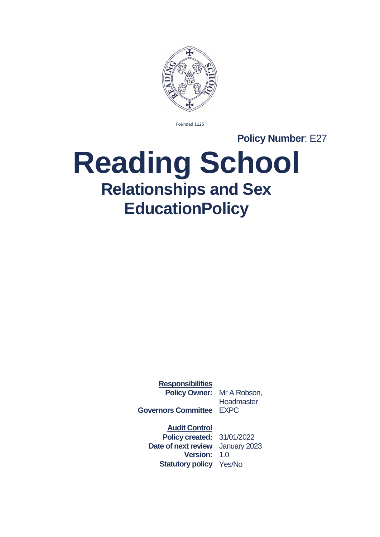

Founded 1125

**Policy Number: E27** 

# **Reading School Relationships and Sex EducationPolicy**

**Responsibilities Policy Owner:** Mr A Robson,

**Headmaster** 

**Governors Committee** EXPC

**Audit Control**

**Policy created:** 31/01/2022 **Date of next review** January 2023 **Version:** 1.0 **Statutory policy** Yes/No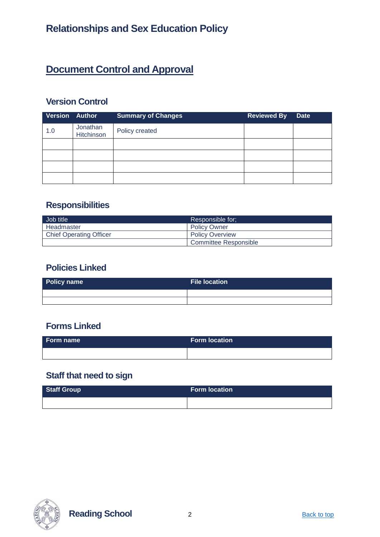### **Document Control and Approval**

### **Version Control**

| <b>Version Author</b> |                        | <b>Summary of Changes</b> | <b>Reviewed By</b> | <b>Date</b> |
|-----------------------|------------------------|---------------------------|--------------------|-------------|
| 1.0                   | Jonathan<br>Hitchinson | Policy created            |                    |             |
|                       |                        |                           |                    |             |
|                       |                        |                           |                    |             |
|                       |                        |                           |                    |             |
|                       |                        |                           |                    |             |

### **Responsibilities**

| Job title                      | Responsible for:       |
|--------------------------------|------------------------|
| Headmaster                     | <b>Policy Owner</b>    |
| <b>Chief Operating Officer</b> | <b>Policy Overview</b> |
|                                | Committee Responsible  |

### **Policies Linked**

| Policy name | File location \ |
|-------------|-----------------|
|             |                 |
|             |                 |

### **Forms Linked**

| Form name | <b>Form location</b> |
|-----------|----------------------|
|           |                      |

### **Staff that need to sign**

| Staff Group | <b>Form location</b> |
|-------------|----------------------|
|             |                      |



**Reading School** 2 **Back to top**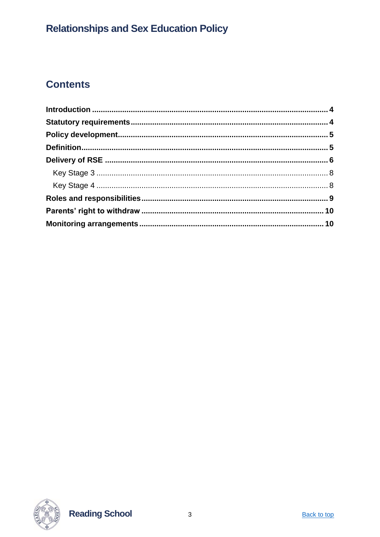### **Contents**

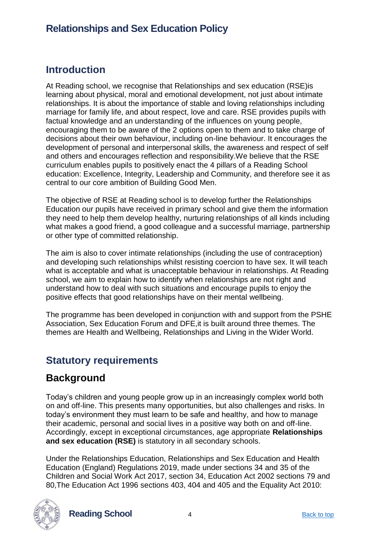### <span id="page-3-0"></span>**Introduction**

At Reading school, we recognise that Relationships and sex education (RSE)is learning about physical, moral and emotional development, not just about intimate relationships. It is about the importance of stable and loving relationships including marriage for family life, and about respect, love and care. RSE provides pupils with factual knowledge and an understanding of the influences on young people, encouraging them to be aware of the 2 options open to them and to take charge of decisions about their own behaviour, including on-line behaviour. It encourages the development of personal and interpersonal skills, the awareness and respect of self and others and encourages reflection and responsibility.We believe that the RSE curriculum enables pupils to positively enact the 4 pillars of a Reading School education: Excellence, Integrity, Leadership and Community, and therefore see it as central to our core ambition of Building Good Men.

The objective of RSE at Reading school is to develop further the Relationships Education our pupils have received in primary school and give them the information they need to help them develop healthy, nurturing relationships of all kinds including what makes a good friend, a good colleague and a successful marriage, partnership or other type of committed relationship.

The aim is also to cover intimate relationships (including the use of contraception) and developing such relationships whilst resisting coercion to have sex. It will teach what is acceptable and what is unacceptable behaviour in relationships. At Reading school, we aim to explain how to identify when relationships are not right and understand how to deal with such situations and encourage pupils to enjoy the positive effects that good relationships have on their mental wellbeing.

The programme has been developed in conjunction with and support from the PSHE Association, Sex Education Forum and DFE,it is built around three themes. The themes are Health and Wellbeing, Relationships and Living in the Wider World.

### <span id="page-3-1"></span>**Statutory requirements**

### **Background**

Today's children and young people grow up in an increasingly complex world both on and off-line. This presents many opportunities, but also challenges and risks. In today's environment they must learn to be safe and healthy, and how to manage their academic, personal and social lives in a positive way both on and off-line. Accordingly, except in exceptional circumstances, age appropriate **Relationships and sex education (RSE)** is statutory in all secondary schools.

Under the Relationships Education, Relationships and Sex Education and Health Education (England) Regulations 2019, made under sections 34 and 35 of the Children and Social Work Act 2017, section 34, Education Act 2002 sections 79 and 80,The Education Act 1996 sections 403, 404 and 405 and the Equality Act 2010:



**Reading School** 4 Back to top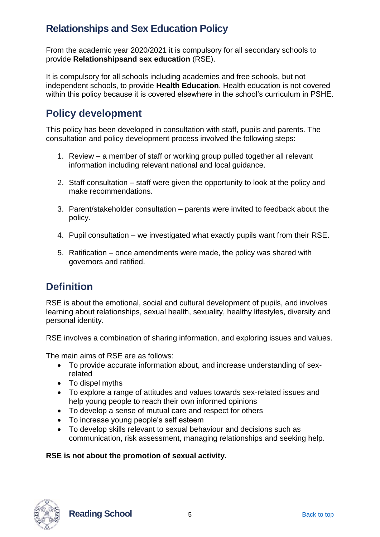From the academic year 2020/2021 it is compulsory for all secondary schools to provide **Relationshipsand sex education** (RSE).

It is compulsory for all schools including academies and free schools, but not independent schools, to provide **Health Education**. Health education is not covered within this policy because it is covered elsewhere in the school's curriculum in PSHE.

### <span id="page-4-0"></span>**Policy development**

This policy has been developed in consultation with staff, pupils and parents. The consultation and policy development process involved the following steps:

- 1. Review a member of staff or working group pulled together all relevant information including relevant national and local guidance.
- 2. Staff consultation staff were given the opportunity to look at the policy and make recommendations.
- 3. Parent/stakeholder consultation parents were invited to feedback about the policy.
- 4. Pupil consultation we investigated what exactly pupils want from their RSE.
- 5. Ratification once amendments were made, the policy was shared with governors and ratified.

### <span id="page-4-1"></span>**Definition**

RSE is about the emotional, social and cultural development of pupils, and involves learning about relationships, sexual health, sexuality, healthy lifestyles, diversity and personal identity.

RSE involves a combination of sharing information, and exploring issues and values.

The main aims of RSE are as follows:

- To provide accurate information about, and increase understanding of sexrelated
- To dispel myths
- To explore a range of attitudes and values towards sex-related issues and help young people to reach their own informed opinions
- To develop a sense of mutual care and respect for others
- To increase young people's self esteem
- To develop skills relevant to sexual behaviour and decisions such as communication, risk assessment, managing relationships and seeking help.

#### **RSE is not about the promotion of sexual activity.**



**Reading School** 5 Back to top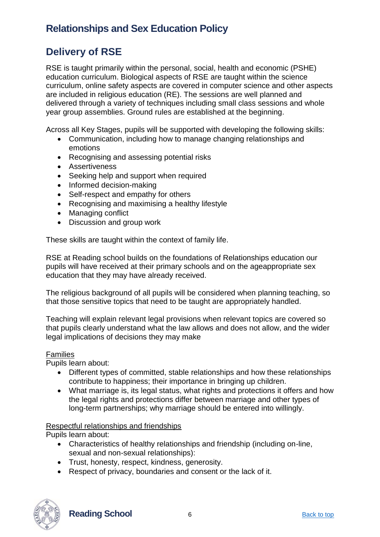### <span id="page-5-0"></span>**Delivery of RSE**

RSE is taught primarily within the personal, social, health and economic (PSHE) education curriculum. Biological aspects of RSE are taught within the science curriculum, online safety aspects are covered in computer science and other aspects are included in religious education (RE). The sessions are well planned and delivered through a variety of techniques including small class sessions and whole year group assemblies. Ground rules are established at the beginning.

Across all Key Stages, pupils will be supported with developing the following skills:

- Communication, including how to manage changing relationships and emotions
- Recognising and assessing potential risks
- Assertiveness
- Seeking help and support when required
- Informed decision-making
- Self-respect and empathy for others
- Recognising and maximising a healthy lifestyle
- Managing conflict
- Discussion and group work

These skills are taught within the context of family life.

RSE at Reading school builds on the foundations of Relationships education our pupils will have received at their primary schools and on the ageappropriate sex education that they may have already received.

The religious background of all pupils will be considered when planning teaching, so that those sensitive topics that need to be taught are appropriately handled.

Teaching will explain relevant legal provisions when relevant topics are covered so that pupils clearly understand what the law allows and does not allow, and the wider legal implications of decisions they may make

#### Families

Pupils learn about:

- Different types of committed, stable relationships and how these relationships contribute to happiness; their importance in bringing up children.
- What marriage is, its legal status, what rights and protections it offers and how the legal rights and protections differ between marriage and other types of long-term partnerships; why marriage should be entered into willingly.

#### Respectful relationships and friendships

Pupils learn about:

- Characteristics of healthy relationships and friendship (including on-line, sexual and non-sexual relationships):
- Trust, honesty, respect, kindness, generosity.
- Respect of privacy, boundaries and consent or the lack of it.



**Reading School** 6 **Back to top** Back to top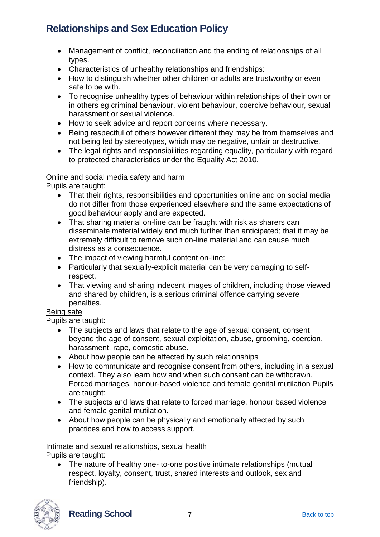- Management of conflict, reconciliation and the ending of relationships of all types.
- Characteristics of unhealthy relationships and friendships:
- How to distinguish whether other children or adults are trustworthy or even safe to be with.
- To recognise unhealthy types of behaviour within relationships of their own or in others eg criminal behaviour, violent behaviour, coercive behaviour, sexual harassment or sexual violence.
- How to seek advice and report concerns where necessary.
- Being respectful of others however different they may be from themselves and not being led by stereotypes, which may be negative, unfair or destructive.
- The legal rights and responsibilities regarding equality, particularly with regard to protected characteristics under the Equality Act 2010.

#### Online and social media safety and harm

Pupils are taught:

- That their rights, responsibilities and opportunities online and on social media do not differ from those experienced elsewhere and the same expectations of good behaviour apply and are expected.
- That sharing material on-line can be fraught with risk as sharers can disseminate material widely and much further than anticipated; that it may be extremely difficult to remove such on-line material and can cause much distress as a consequence.
- The impact of viewing harmful content on-line:
- Particularly that sexually-explicit material can be very damaging to selfrespect.
- That viewing and sharing indecent images of children, including those viewed and shared by children, is a serious criminal offence carrying severe penalties.

#### Being safe

Pupils are taught:

- The subjects and laws that relate to the age of sexual consent, consent beyond the age of consent, sexual exploitation, abuse, grooming, coercion, harassment, rape, domestic abuse.
- About how people can be affected by such relationships
- How to communicate and recognise consent from others, including in a sexual context. They also learn how and when such consent can be withdrawn. Forced marriages, honour-based violence and female genital mutilation Pupils are taught:
- The subjects and laws that relate to forced marriage, honour based violence and female genital mutilation.
- About how people can be physically and emotionally affected by such practices and how to access support.

Intimate and sexual relationships, sexual health

Pupils are taught:

• The nature of healthy one- to-one positive intimate relationships (mutual respect, loyalty, consent, trust, shared interests and outlook, sex and friendship).

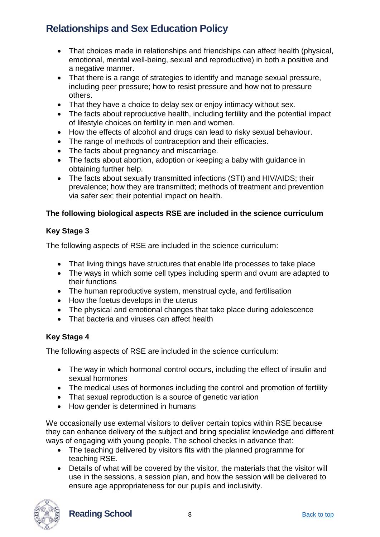- That choices made in relationships and friendships can affect health (physical, emotional, mental well-being, sexual and reproductive) in both a positive and a negative manner.
- That there is a range of strategies to identify and manage sexual pressure, including peer pressure; how to resist pressure and how not to pressure others.
- That they have a choice to delay sex or enjoy intimacy without sex.
- The facts about reproductive health, including fertility and the potential impact of lifestyle choices on fertility in men and women.
- How the effects of alcohol and drugs can lead to risky sexual behaviour.
- The range of methods of contraception and their efficacies.
- The facts about pregnancy and miscarriage.
- The facts about abortion, adoption or keeping a baby with quidance in obtaining further help.
- The facts about sexually transmitted infections (STI) and HIV/AIDS: their prevalence; how they are transmitted; methods of treatment and prevention via safer sex; their potential impact on health.

#### **The following biological aspects RSE are included in the science curriculum**

#### <span id="page-7-0"></span>**Key Stage 3**

The following aspects of RSE are included in the science curriculum:

- That living things have structures that enable life processes to take place
- The ways in which some cell types including sperm and ovum are adapted to their functions
- The human reproductive system, menstrual cycle, and fertilisation
- How the foetus develops in the uterus
- The physical and emotional changes that take place during adolescence
- That bacteria and viruses can affect health

#### <span id="page-7-1"></span>**Key Stage 4**

The following aspects of RSE are included in the science curriculum:

- The way in which hormonal control occurs, including the effect of insulin and sexual hormones
- The medical uses of hormones including the control and promotion of fertility
- That sexual reproduction is a source of genetic variation
- How gender is determined in humans

We occasionally use external visitors to deliver certain topics within RSE because they can enhance delivery of the subject and bring specialist knowledge and different ways of engaging with young people. The school checks in advance that:

- The teaching delivered by visitors fits with the planned programme for teaching RSE.
- Details of what will be covered by the visitor, the materials that the visitor will use in the sessions, a session plan, and how the session will be delivered to ensure age appropriateness for our pupils and inclusivity.

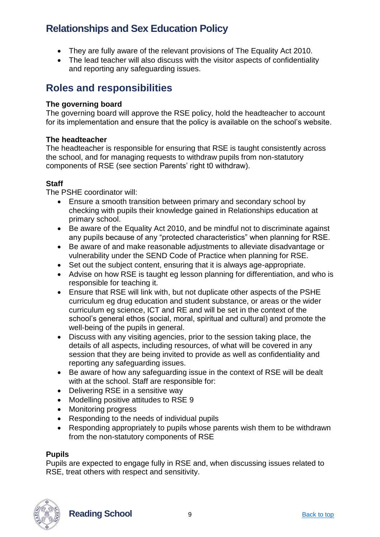- They are fully aware of the relevant provisions of The Equality Act 2010.
- The lead teacher will also discuss with the visitor aspects of confidentiality and reporting any safeguarding issues.

### <span id="page-8-0"></span>**Roles and responsibilities**

#### **The governing board**

The governing board will approve the RSE policy, hold the headteacher to account for its implementation and ensure that the policy is available on the school's website.

#### **The headteacher**

The headteacher is responsible for ensuring that RSE is taught consistently across the school, and for managing requests to withdraw pupils from non-statutory components of RSE (see section Parents' right t0 withdraw).

#### **Staff**

The PSHE coordinator will:

- Ensure a smooth transition between primary and secondary school by checking with pupils their knowledge gained in Relationships education at primary school.
- Be aware of the Equality Act 2010, and be mindful not to discriminate against any pupils because of any "protected characteristics" when planning for RSE.
- Be aware of and make reasonable adjustments to alleviate disadvantage or vulnerability under the SEND Code of Practice when planning for RSE.
- Set out the subject content, ensuring that it is always age-appropriate.
- Advise on how RSE is taught eg lesson planning for differentiation, and who is responsible for teaching it.
- Ensure that RSE will link with, but not duplicate other aspects of the PSHE curriculum eg drug education and student substance, or areas or the wider curriculum eg science, ICT and RE and will be set in the context of the school's general ethos (social, moral, spiritual and cultural) and promote the well-being of the pupils in general.
- Discuss with any visiting agencies, prior to the session taking place, the details of all aspects, including resources, of what will be covered in any session that they are being invited to provide as well as confidentiality and reporting any safeguarding issues.
- Be aware of how any safeguarding issue in the context of RSE will be dealt with at the school. Staff are responsible for:
- Delivering RSE in a sensitive way
- Modelling positive attitudes to RSE 9
- Monitoring progress
- Responding to the needs of individual pupils
- Responding appropriately to pupils whose parents wish them to be withdrawn from the non-statutory components of RSE

#### **Pupils**

Pupils are expected to engage fully in RSE and, when discussing issues related to RSE, treat others with respect and sensitivity.



**Reading School** 9 **Back to top** Back to top